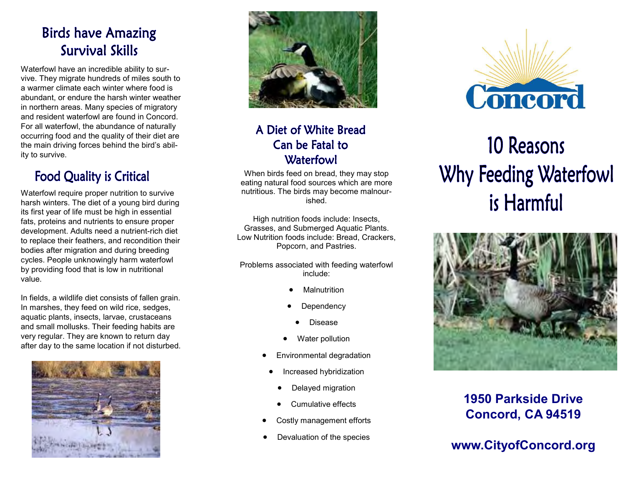## **Birds have Amazing Survival Skills**

Waterfowl have an incredible ability to survive. They migrate hundreds of miles south to a warmer climate each winter where food is abundant, or endure the harsh winter weather in northern areas. Many species of migratory and resident waterfowl are found in Concord. For all waterfowl, the abundance of naturally occurring food and the quality of their diet are the main driving forces behind the bird's ability to survive.

## **Food Quality is Critical**

Waterfowl require proper nutrition to survive harsh winters. The diet of a young bird during its first year of life must be high in essential fats, proteins and nutrients to ensure proper development. Adults need a nutrient-rich diet to replace their feathers, and recondition their bodies after migration and during breeding cycles. People unknowingly harm waterfowl by providing food that is low in nutritional value.

In fields, a wildlife diet consists of fallen grain. In marshes, they feed on wild rice, sedges, aquatic plants, insects, larvae, crustaceans and small mollusks. Their feeding habits are very regular. They are known to return day after day to the same location if not disturbed.





## A Diet of White Bread Can be Fatal to Waterfowl

When birds feed on bread, they may stop eating natural food sources which are more nutritious. The birds may become malnourished.

High nutrition foods include: Insects, Grasses, and Submerged Aquatic Plants. Low Nutrition foods include: Bread, Crackers, Popcorn, and Pastries.

Problems associated with feeding waterfowl include:

- **Malnutrition**
- •**Dependency** 
	- •Disease
- •Water pollution
- • Environmental degradation
	- • Increased hybridization
		- •Delayed migration
	- •Cumulative effects
- •Costly management efforts
- Devaluation of the species



# 10 Reasons Why Feeding Waterfowl is Harmful



**1950 Parkside Drive Concord, CA 94519** 

**www.CityofConcord.org**